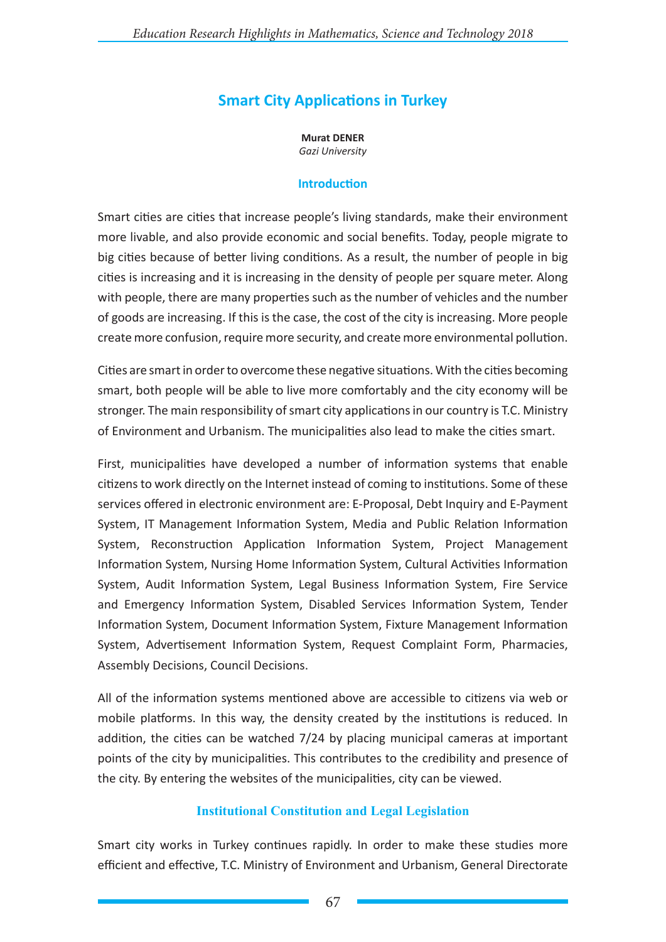# **Smart City Applications in Turkey**

**Murat DENER** *Gazi University*

#### **Introduction**

Smart cities are cities that increase people's living standards, make their environment more livable, and also provide economic and social benefits. Today, people migrate to big cities because of better living conditions. As a result, the number of people in big cities is increasing and it is increasing in the density of people per square meter. Along with people, there are many properties such as the number of vehicles and the number of goods are increasing. If this is the case, the cost of the city is increasing. More people create more confusion, require more security, and create more environmental pollution.

Cities are smart in order to overcome these negative situations. With the cities becoming smart, both people will be able to live more comfortably and the city economy will be stronger. The main responsibility of smart city applications in our country is T.C. Ministry of Environment and Urbanism. The municipalities also lead to make the cities smart.

First, municipalities have developed a number of information systems that enable citizens to work directly on the Internet instead of coming to institutions. Some of these services offered in electronic environment are: E-Proposal, Debt Inquiry and E-Payment System, IT Management Information System, Media and Public Relation Information System, Reconstruction Application Information System, Project Management Information System, Nursing Home Information System, Cultural Activities Information System, Audit Information System, Legal Business Information System, Fire Service and Emergency Information System, Disabled Services Information System, Tender Information System, Document Information System, Fixture Management Information System, Advertisement Information System, Request Complaint Form, Pharmacies, Assembly Decisions, Council Decisions.

All of the information systems mentioned above are accessible to citizens via web or mobile platforms. In this way, the density created by the institutions is reduced. In addition, the cities can be watched 7/24 by placing municipal cameras at important points of the city by municipalities. This contributes to the credibility and presence of the city. By entering the websites of the municipalities, city can be viewed.

### **Institutional Constitution and Legal Legislation**

Smart city works in Turkey continues rapidly. In order to make these studies more efficient and effective, T.C. Ministry of Environment and Urbanism, General Directorate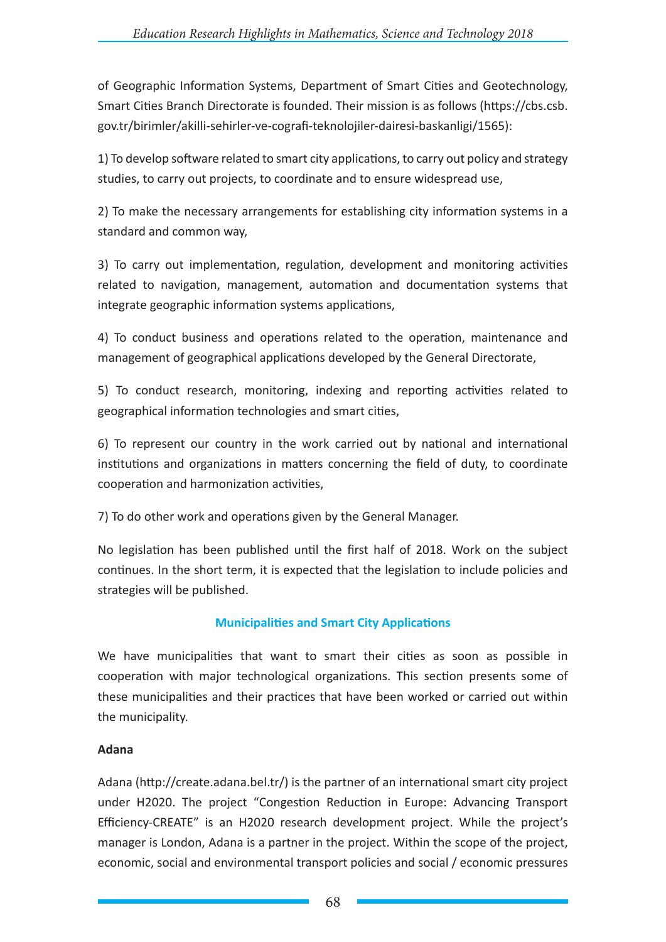of Geographic Information Systems, Department of Smart Cities and Geotechnology, Smart Cities Branch Directorate is founded. Their mission is as follows (https://cbs.csb. gov.tr/birimler/akilli-sehirler-ve-cografi-teknolojiler-dairesi-baskanligi/1565):

1) To develop software related to smart city applications, to carry out policy and strategy studies, to carry out projects, to coordinate and to ensure widespread use,

2) To make the necessary arrangements for establishing city information systems in a standard and common way,

3) To carry out implementation, regulation, development and monitoring activities related to navigation, management, automation and documentation systems that integrate geographic information systems applications,

4) To conduct business and operations related to the operation, maintenance and management of geographical applications developed by the General Directorate,

5) To conduct research, monitoring, indexing and reporting activities related to geographical information technologies and smart cities,

6) To represent our country in the work carried out by national and international institutions and organizations in matters concerning the field of duty, to coordinate cooperation and harmonization activities,

7) To do other work and operations given by the General Manager.

No legislation has been published until the first half of 2018. Work on the subject continues. In the short term, it is expected that the legislation to include policies and strategies will be published.

# **Municipalities and Smart City Applications**

We have municipalities that want to smart their cities as soon as possible in cooperation with major technological organizations. This section presents some of these municipalities and their practices that have been worked or carried out within the municipality.

### **Adana**

Adana (http://create.adana.bel.tr/) is the partner of an international smart city project under H2020. The project "Congestion Reduction in Europe: Advancing Transport Efficiency-CREATE" is an H2020 research development project. While the project's manager is London, Adana is a partner in the project. Within the scope of the project, economic, social and environmental transport policies and social / economic pressures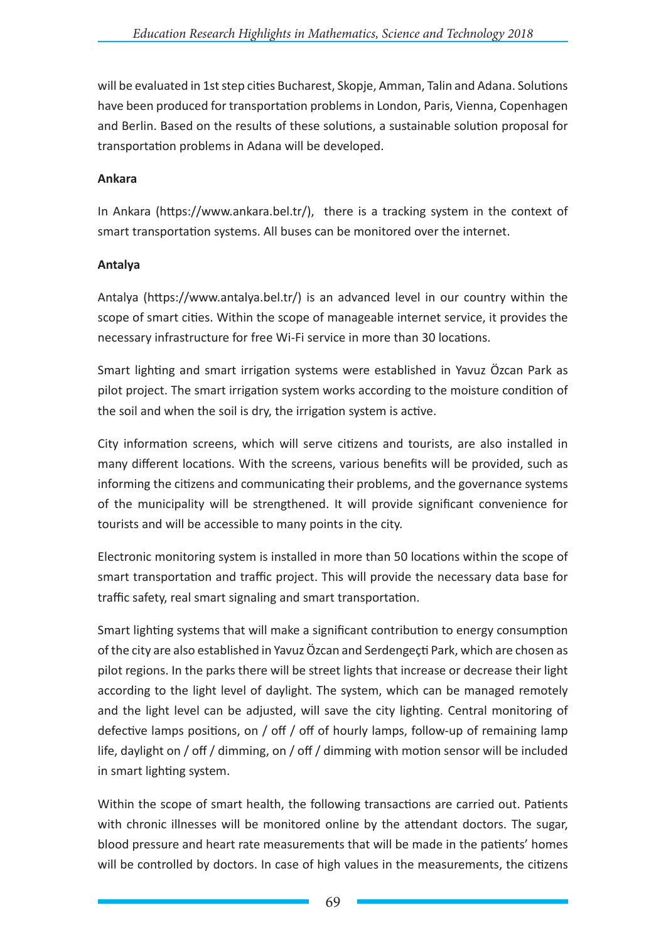will be evaluated in 1st step cities Bucharest, Skopje, Amman, Talin and Adana. Solutions have been produced for transportation problems in London, Paris, Vienna, Copenhagen and Berlin. Based on the results of these solutions, a sustainable solution proposal for transportation problems in Adana will be developed.

#### **Ankara**

In Ankara (https://www.ankara.bel.tr/), there is a tracking system in the context of smart transportation systems. All buses can be monitored over the internet.

#### **Antalya**

Antalya (https://www.antalya.bel.tr/) is an advanced level in our country within the scope of smart cities. Within the scope of manageable internet service, it provides the necessary infrastructure for free Wi-Fi service in more than 30 locations.

Smart lighting and smart irrigation systems were established in Yavuz Özcan Park as pilot project. The smart irrigation system works according to the moisture condition of the soil and when the soil is dry, the irrigation system is active.

City information screens, which will serve citizens and tourists, are also installed in many different locations. With the screens, various benefits will be provided, such as informing the citizens and communicating their problems, and the governance systems of the municipality will be strengthened. It will provide significant convenience for tourists and will be accessible to many points in the city.

Electronic monitoring system is installed in more than 50 locations within the scope of smart transportation and traffic project. This will provide the necessary data base for traffic safety, real smart signaling and smart transportation.

Smart lighting systems that will make a significant contribution to energy consumption of the city are also established in Yavuz Özcan and Serdengeçti Park, which are chosen as pilot regions. In the parks there will be street lights that increase or decrease their light according to the light level of daylight. The system, which can be managed remotely and the light level can be adjusted, will save the city lighting. Central monitoring of defective lamps positions, on / off / off of hourly lamps, follow-up of remaining lamp life, daylight on / off / dimming, on / off / dimming with motion sensor will be included in smart lighting system.

Within the scope of smart health, the following transactions are carried out. Patients with chronic illnesses will be monitored online by the attendant doctors. The sugar, blood pressure and heart rate measurements that will be made in the patients' homes will be controlled by doctors. In case of high values in the measurements, the citizens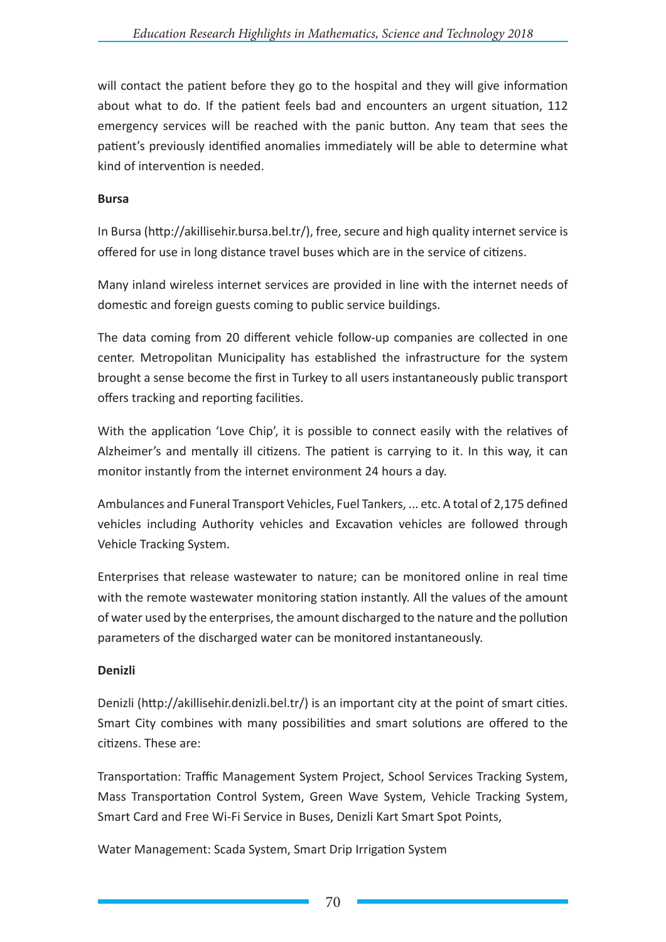will contact the patient before they go to the hospital and they will give information about what to do. If the patient feels bad and encounters an urgent situation, 112 emergency services will be reached with the panic button. Any team that sees the patient's previously identified anomalies immediately will be able to determine what kind of intervention is needed.

#### **Bursa**

In Bursa (http://akillisehir.bursa.bel.tr/), free, secure and high quality internet service is offered for use in long distance travel buses which are in the service of citizens.

Many inland wireless internet services are provided in line with the internet needs of domestic and foreign guests coming to public service buildings.

The data coming from 20 different vehicle follow-up companies are collected in one center. Metropolitan Municipality has established the infrastructure for the system brought a sense become the first in Turkey to all users instantaneously public transport offers tracking and reporting facilities.

With the application 'Love Chip', it is possible to connect easily with the relatives of Alzheimer's and mentally ill citizens. The patient is carrying to it. In this way, it can monitor instantly from the internet environment 24 hours a day.

Ambulances and Funeral Transport Vehicles, Fuel Tankers, ... etc. A total of 2,175 defined vehicles including Authority vehicles and Excavation vehicles are followed through Vehicle Tracking System.

Enterprises that release wastewater to nature; can be monitored online in real time with the remote wastewater monitoring station instantly. All the values of the amount of water used by the enterprises, the amount discharged to the nature and the pollution parameters of the discharged water can be monitored instantaneously.

### **Denizli**

Denizli (http://akillisehir.denizli.bel.tr/) is an important city at the point of smart cities. Smart City combines with many possibilities and smart solutions are offered to the citizens. These are:

Transportation: Traffic Management System Project, School Services Tracking System, Mass Transportation Control System, Green Wave System, Vehicle Tracking System, Smart Card and Free Wi-Fi Service in Buses, Denizli Kart Smart Spot Points,

Water Management: Scada System, Smart Drip Irrigation System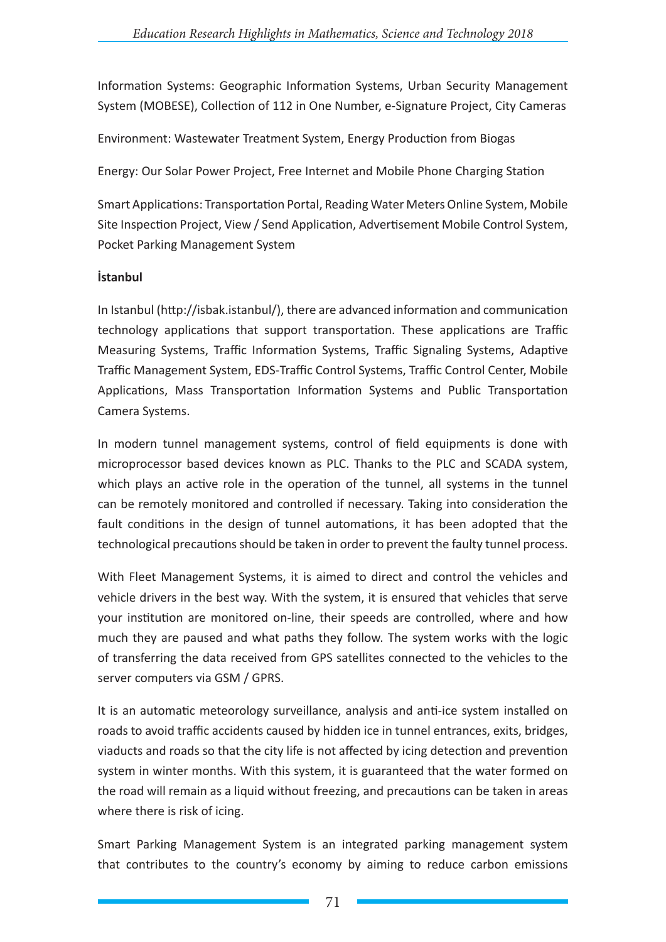Information Systems: Geographic Information Systems, Urban Security Management System (MOBESE), Collection of 112 in One Number, e-Signature Project, City Cameras

Environment: Wastewater Treatment System, Energy Production from Biogas

Energy: Our Solar Power Project, Free Internet and Mobile Phone Charging Station

Smart Applications: Transportation Portal, Reading Water Meters Online System, Mobile Site Inspection Project, View / Send Application, Advertisement Mobile Control System, Pocket Parking Management System

#### **İstanbul**

In Istanbul (http://isbak.istanbul/), there are advanced information and communication technology applications that support transportation. These applications are Traffic Measuring Systems, Traffic Information Systems, Traffic Signaling Systems, Adaptive Traffic Management System, EDS-Traffic Control Systems, Traffic Control Center, Mobile Applications, Mass Transportation Information Systems and Public Transportation Camera Systems.

In modern tunnel management systems, control of field equipments is done with microprocessor based devices known as PLC. Thanks to the PLC and SCADA system, which plays an active role in the operation of the tunnel, all systems in the tunnel can be remotely monitored and controlled if necessary. Taking into consideration the fault conditions in the design of tunnel automations, it has been adopted that the technological precautions should be taken in order to prevent the faulty tunnel process.

With Fleet Management Systems, it is aimed to direct and control the vehicles and vehicle drivers in the best way. With the system, it is ensured that vehicles that serve your institution are monitored on-line, their speeds are controlled, where and how much they are paused and what paths they follow. The system works with the logic of transferring the data received from GPS satellites connected to the vehicles to the server computers via GSM / GPRS.

It is an automatic meteorology surveillance, analysis and anti-ice system installed on roads to avoid traffic accidents caused by hidden ice in tunnel entrances, exits, bridges, viaducts and roads so that the city life is not affected by icing detection and prevention system in winter months. With this system, it is guaranteed that the water formed on the road will remain as a liquid without freezing, and precautions can be taken in areas where there is risk of icing.

Smart Parking Management System is an integrated parking management system that contributes to the country's economy by aiming to reduce carbon emissions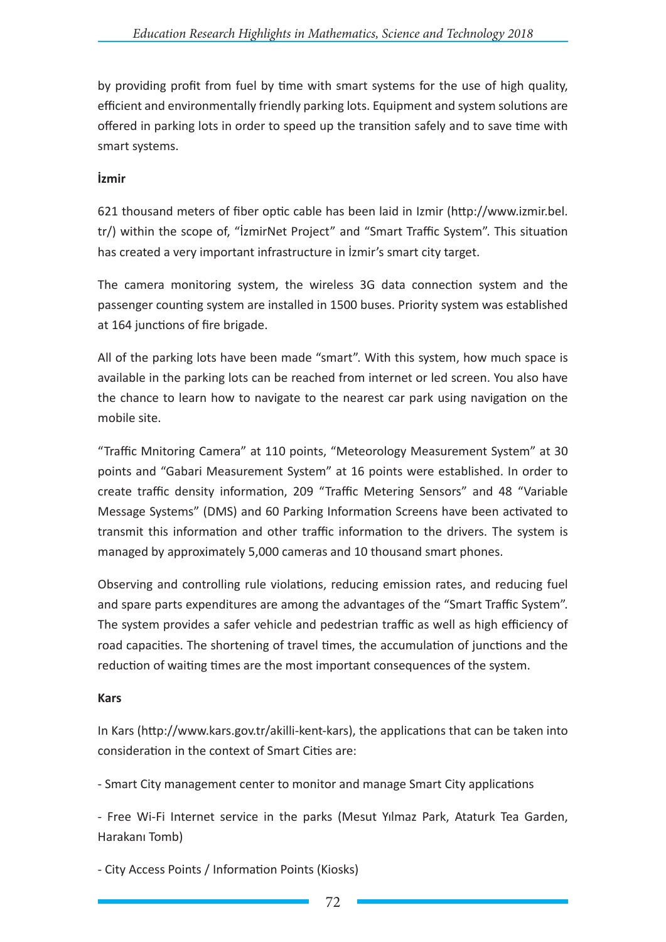by providing profit from fuel by time with smart systems for the use of high quality, efficient and environmentally friendly parking lots. Equipment and system solutions are offered in parking lots in order to speed up the transition safely and to save time with smart systems.

## **İzmir**

621 thousand meters of fiber optic cable has been laid in Izmir (http://www.izmir.bel. tr/) within the scope of, "İzmirNet Project" and "Smart Traffic System". This situation has created a very important infrastructure in İzmir's smart city target.

The camera monitoring system, the wireless 3G data connection system and the passenger counting system are installed in 1500 buses. Priority system was established at 164 junctions of fire brigade.

All of the parking lots have been made "smart". With this system, how much space is available in the parking lots can be reached from internet or led screen. You also have the chance to learn how to navigate to the nearest car park using navigation on the mobile site.

"Traffic Mnitoring Camera" at 110 points, "Meteorology Measurement System" at 30 points and "Gabari Measurement System" at 16 points were established. In order to create traffic density information, 209 "Traffic Metering Sensors" and 48 "Variable Message Systems" (DMS) and 60 Parking Information Screens have been activated to transmit this information and other traffic information to the drivers. The system is managed by approximately 5,000 cameras and 10 thousand smart phones.

Observing and controlling rule violations, reducing emission rates, and reducing fuel and spare parts expenditures are among the advantages of the "Smart Traffic System". The system provides a safer vehicle and pedestrian traffic as well as high efficiency of road capacities. The shortening of travel times, the accumulation of junctions and the reduction of waiting times are the most important consequences of the system.

### **Kars**

In Kars (http://www.kars.gov.tr/akilli-kent-kars), the applications that can be taken into consideration in the context of Smart Cities are:

- Smart City management center to monitor and manage Smart City applications

- Free Wi-Fi Internet service in the parks (Mesut Yılmaz Park, Ataturk Tea Garden, Harakanı Tomb)

- City Access Points / Information Points (Kiosks)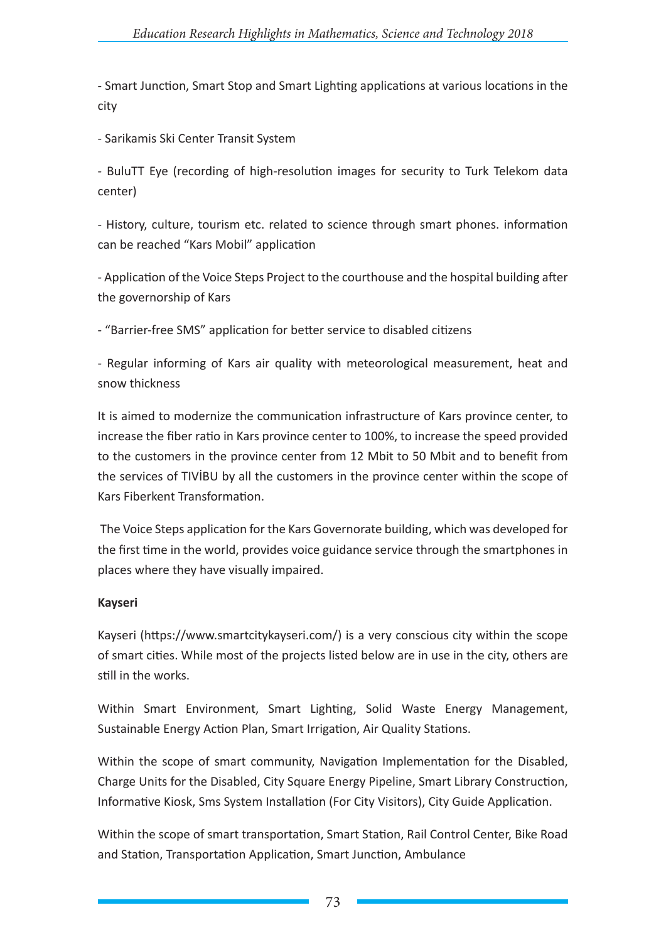- Smart Junction, Smart Stop and Smart Lighting applications at various locations in the city

- Sarikamis Ski Center Transit System

- BuluTT Eye (recording of high-resolution images for security to Turk Telekom data center)

- History, culture, tourism etc. related to science through smart phones. information can be reached "Kars Mobil" application

- Application of the Voice Steps Project to the courthouse and the hospital building after the governorship of Kars

- "Barrier-free SMS" application for better service to disabled citizens

- Regular informing of Kars air quality with meteorological measurement, heat and snow thickness

It is aimed to modernize the communication infrastructure of Kars province center, to increase the fiber ratio in Kars province center to 100%, to increase the speed provided to the customers in the province center from 12 Mbit to 50 Mbit and to benefit from the services of TIVİBU by all the customers in the province center within the scope of Kars Fiberkent Transformation.

The Voice Steps application for the Kars Governorate building, which was developed for the first time in the world, provides voice guidance service through the smartphones in places where they have visually impaired.

### **Kayseri**

Kayseri (https://www.smartcitykayseri.com/) is a very conscious city within the scope of smart cities. While most of the projects listed below are in use in the city, others are still in the works.

Within Smart Environment, Smart Lighting, Solid Waste Energy Management, Sustainable Energy Action Plan, Smart Irrigation, Air Quality Stations.

Within the scope of smart community, Navigation Implementation for the Disabled, Charge Units for the Disabled, City Square Energy Pipeline, Smart Library Construction, Informative Kiosk, Sms System Installation (For City Visitors), City Guide Application.

Within the scope of smart transportation, Smart Station, Rail Control Center, Bike Road and Station, Transportation Application, Smart Junction, Ambulance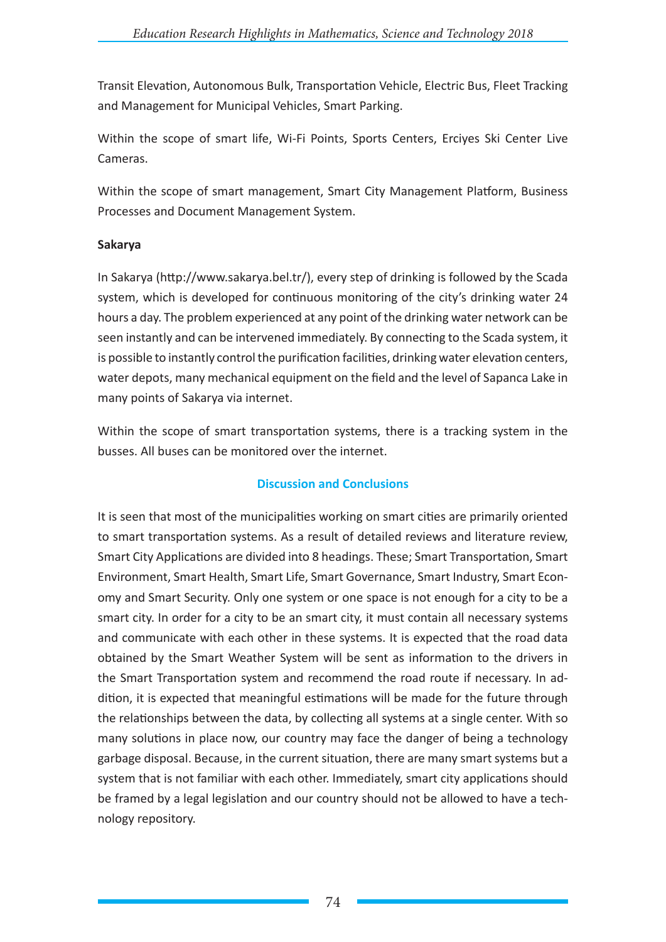Transit Elevation, Autonomous Bulk, Transportation Vehicle, Electric Bus, Fleet Tracking and Management for Municipal Vehicles, Smart Parking.

Within the scope of smart life, Wi-Fi Points, Sports Centers, Erciyes Ski Center Live Cameras.

Within the scope of smart management, Smart City Management Platform, Business Processes and Document Management System.

### **Sakarya**

In Sakarya (http://www.sakarya.bel.tr/), every step of drinking is followed by the Scada system, which is developed for continuous monitoring of the city's drinking water 24 hours a day. The problem experienced at any point of the drinking water network can be seen instantly and can be intervened immediately. By connecting to the Scada system, it is possible to instantly control the purification facilities, drinking water elevation centers, water depots, many mechanical equipment on the field and the level of Sapanca Lake in many points of Sakarya via internet.

Within the scope of smart transportation systems, there is a tracking system in the busses. All buses can be monitored over the internet.

# **Discussion and Conclusions**

It is seen that most of the municipalities working on smart cities are primarily oriented to smart transportation systems. As a result of detailed reviews and literature review, Smart City Applications are divided into 8 headings. These; Smart Transportation, Smart Environment, Smart Health, Smart Life, Smart Governance, Smart Industry, Smart Economy and Smart Security. Only one system or one space is not enough for a city to be a smart city. In order for a city to be an smart city, it must contain all necessary systems and communicate with each other in these systems. It is expected that the road data obtained by the Smart Weather System will be sent as information to the drivers in the Smart Transportation system and recommend the road route if necessary. In addition, it is expected that meaningful estimations will be made for the future through the relationships between the data, by collecting all systems at a single center. With so many solutions in place now, our country may face the danger of being a technology garbage disposal. Because, in the current situation, there are many smart systems but a system that is not familiar with each other. Immediately, smart city applications should be framed by a legal legislation and our country should not be allowed to have a technology repository.